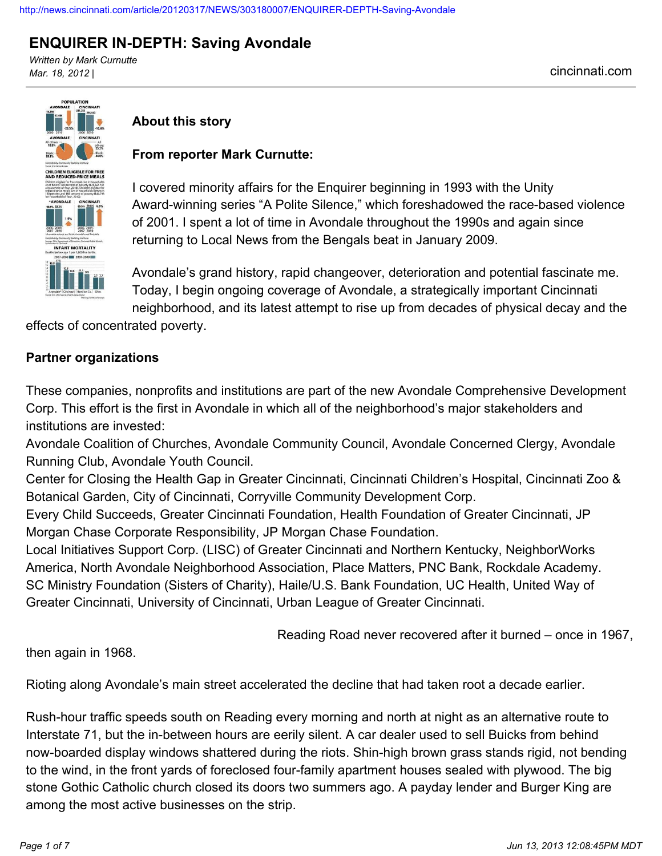# **ENQUIRER IN-DEPTH: Saving Avondale**

*Written by Mark Curnutte Mar. 18, 2012 |* cincinnati.com



## **About this story**

### **From reporter Mark Curnutte:**

I covered minority affairs for the Enquirer beginning in 1993 with the Unity Award-winning series "A Polite Silence," which foreshadowed the race-based violence of 2001. I spent a lot of time in Avondale throughout the 1990s and again since returning to Local News from the Bengals beat in January 2009.

Avondale's grand history, rapid changeover, deterioration and potential fascinate me. Today, I begin ongoing coverage of Avondale, a strategically important Cincinnati neighborhood, and its latest attempt to rise up from decades of physical decay and the

effects of concentrated poverty.

#### **Partner organizations**

These companies, nonprofits and institutions are part of the new Avondale Comprehensive Development Corp. This effort is the first in Avondale in which all of the neighborhood's major stakeholders and institutions are invested:

Avondale Coalition of Churches, Avondale Community Council, Avondale Concerned Clergy, Avondale Running Club, Avondale Youth Council.

Center for Closing the Health Gap in Greater Cincinnati, Cincinnati Children's Hospital, Cincinnati Zoo & Botanical Garden, City of Cincinnati, Corryville Community Development Corp.

Every Child Succeeds, Greater Cincinnati Foundation, Health Foundation of Greater Cincinnati, JP Morgan Chase Corporate Responsibility, JP Morgan Chase Foundation.

Local Initiatives Support Corp. (LISC) of Greater Cincinnati and Northern Kentucky, NeighborWorks America, North Avondale Neighborhood Association, Place Matters, PNC Bank, Rockdale Academy. SC Ministry Foundation (Sisters of Charity), Haile/U.S. Bank Foundation, UC Health, United Way of Greater Cincinnati, University of Cincinnati, Urban League of Greater Cincinnati.

Reading Road never recovered after it burned – once in 1967,

then again in 1968.

Rioting along Avondale's main street accelerated the decline that had taken root a decade earlier.

Rush-hour traffic speeds south on Reading every morning and north at night as an alternative route to Interstate 71, but the in-between hours are eerily silent. A car dealer used to sell Buicks from behind now-boarded display windows shattered during the riots. Shin-high brown grass stands rigid, not bending to the wind, in the front yards of foreclosed four-family apartment houses sealed with plywood. The big stone Gothic Catholic church closed its doors two summers ago. A payday lender and Burger King are among the most active businesses on the strip.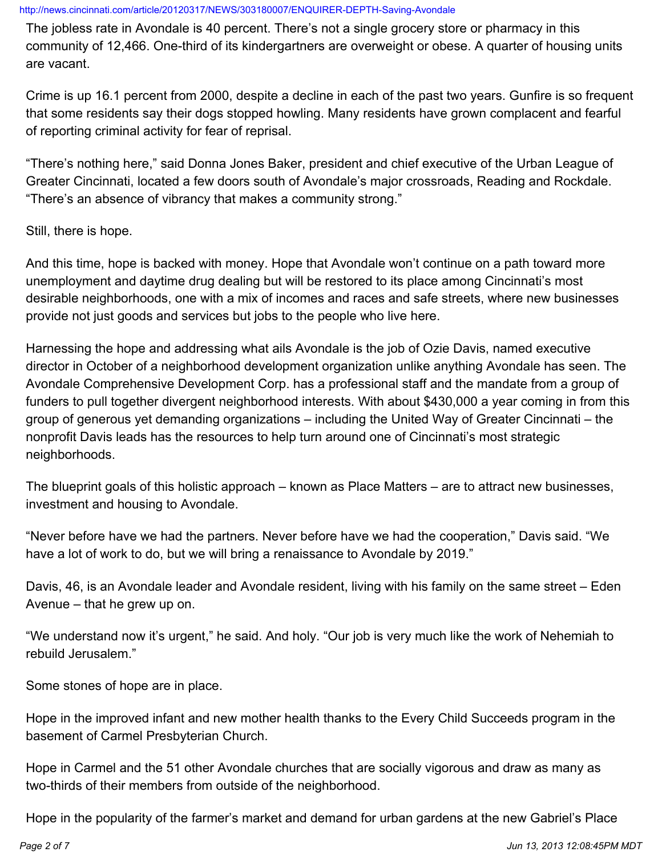The jobless rate in Avondale is 40 percent. There's not a single grocery store or pharmacy in this community of 12,466. One-third of its kindergartners are overweight or obese. A quarter of housing units are vacant.

Crime is up 16.1 percent from 2000, despite a decline in each of the past two years. Gunfire is so frequent that some residents say their dogs stopped howling. Many residents have grown complacent and fearful of reporting criminal activity for fear of reprisal.

"There's nothing here," said Donna Jones Baker, president and chief executive of the Urban League of Greater Cincinnati, located a few doors south of Avondale's major crossroads, Reading and Rockdale. "There's an absence of vibrancy that makes a community strong."

Still, there is hope.

And this time, hope is backed with money. Hope that Avondale won't continue on a path toward more unemployment and daytime drug dealing but will be restored to its place among Cincinnati's most desirable neighborhoods, one with a mix of incomes and races and safe streets, where new businesses provide not just goods and services but jobs to the people who live here.

Harnessing the hope and addressing what ails Avondale is the job of Ozie Davis, named executive director in October of a neighborhood development organization unlike anything Avondale has seen. The Avondale Comprehensive Development Corp. has a professional staff and the mandate from a group of funders to pull together divergent neighborhood interests. With about \$430,000 a year coming in from this group of generous yet demanding organizations – including the United Way of Greater Cincinnati – the nonprofit Davis leads has the resources to help turn around one of Cincinnati's most strategic neighborhoods.

The blueprint goals of this holistic approach – known as Place Matters – are to attract new businesses, investment and housing to Avondale.

"Never before have we had the partners. Never before have we had the cooperation," Davis said. "We have a lot of work to do, but we will bring a renaissance to Avondale by 2019."

Davis, 46, is an Avondale leader and Avondale resident, living with his family on the same street – Eden Avenue – that he grew up on.

"We understand now it's urgent," he said. And holy. "Our job is very much like the work of Nehemiah to rebuild Jerusalem."

Some stones of hope are in place.

Hope in the improved infant and new mother health thanks to the Every Child Succeeds program in the basement of Carmel Presbyterian Church.

Hope in Carmel and the 51 other Avondale churches that are socially vigorous and draw as many as two-thirds of their members from outside of the neighborhood.

Hope in the popularity of the farmer's market and demand for urban gardens at the new Gabriel's Place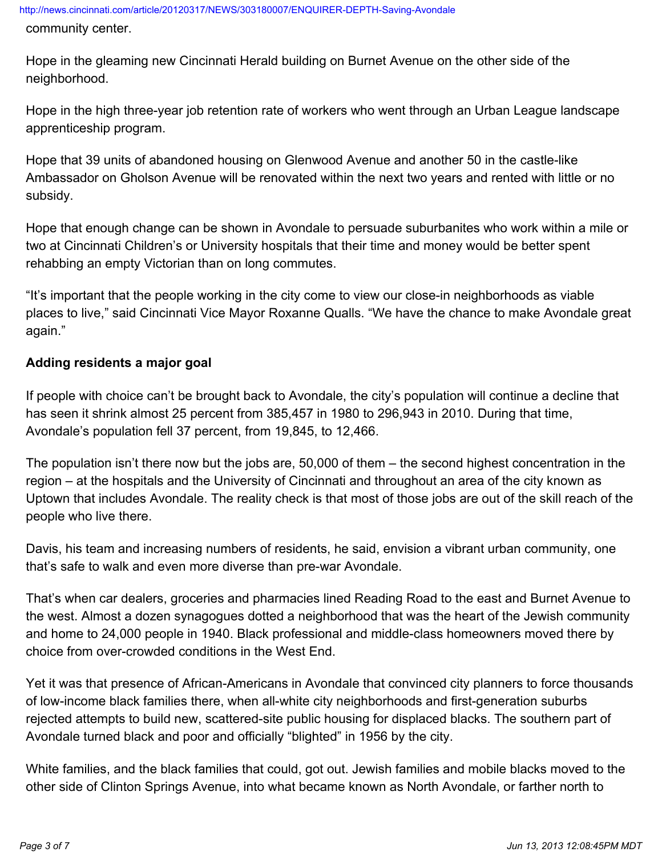community center.

Hope in the gleaming new Cincinnati Herald building on Burnet Avenue on the other side of the neighborhood.

Hope in the high three-year job retention rate of workers who went through an Urban League landscape apprenticeship program.

Hope that 39 units of abandoned housing on Glenwood Avenue and another 50 in the castle-like Ambassador on Gholson Avenue will be renovated within the next two years and rented with little or no subsidy.

Hope that enough change can be shown in Avondale to persuade suburbanites who work within a mile or two at Cincinnati Children's or University hospitals that their time and money would be better spent rehabbing an empty Victorian than on long commutes.

"It's important that the people working in the city come to view our close-in neighborhoods as viable places to live," said Cincinnati Vice Mayor Roxanne Qualls. "We have the chance to make Avondale great again."

### **Adding residents a major goal**

If people with choice can't be brought back to Avondale, the city's population will continue a decline that has seen it shrink almost 25 percent from 385,457 in 1980 to 296,943 in 2010. During that time, Avondale's population fell 37 percent, from 19,845, to 12,466.

The population isn't there now but the jobs are, 50,000 of them – the second highest concentration in the region – at the hospitals and the University of Cincinnati and throughout an area of the city known as Uptown that includes Avondale. The reality check is that most of those jobs are out of the skill reach of the people who live there.

Davis, his team and increasing numbers of residents, he said, envision a vibrant urban community, one that's safe to walk and even more diverse than pre-war Avondale.

That's when car dealers, groceries and pharmacies lined Reading Road to the east and Burnet Avenue to the west. Almost a dozen synagogues dotted a neighborhood that was the heart of the Jewish community and home to 24,000 people in 1940. Black professional and middle-class homeowners moved there by choice from over-crowded conditions in the West End.

Yet it was that presence of African-Americans in Avondale that convinced city planners to force thousands of low-income black families there, when all-white city neighborhoods and first-generation suburbs rejected attempts to build new, scattered-site public housing for displaced blacks. The southern part of Avondale turned black and poor and officially "blighted" in 1956 by the city.

White families, and the black families that could, got out. Jewish families and mobile blacks moved to the other side of Clinton Springs Avenue, into what became known as North Avondale, or farther north to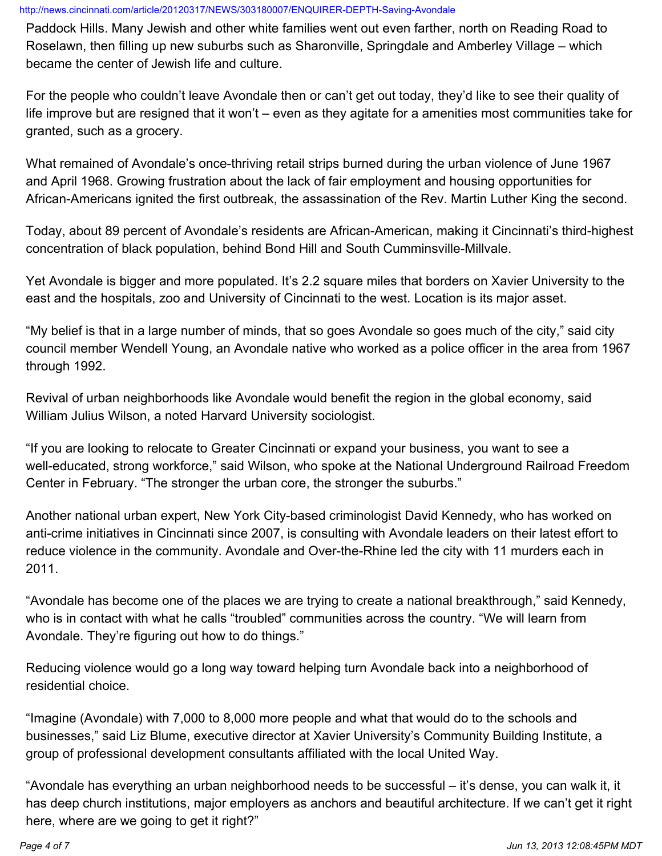Paddock Hills. Many Jewish and other white families went out even farther, north on Reading Road to Roselawn, then filling up new suburbs such as Sharonville, Springdale and Amberley Village – which became the center of Jewish life and culture.

For the people who couldn't leave Avondale then or can't get out today, they'd like to see their quality of life improve but are resigned that it won't – even as they agitate for a amenities most communities take for granted, such as a grocery.

What remained of Avondale's once-thriving retail strips burned during the urban violence of June 1967 and April 1968. Growing frustration about the lack of fair employment and housing opportunities for African-Americans ignited the first outbreak, the assassination of the Rev. Martin Luther King the second.

Today, about 89 percent of Avondale's residents are African-American, making it Cincinnati's third-highest concentration of black population, behind Bond Hill and South Cumminsville-Millvale.

Yet Avondale is bigger and more populated. It's 2.2 square miles that borders on Xavier University to the east and the hospitals, zoo and University of Cincinnati to the west. Location is its major asset.

"My belief is that in a large number of minds, that so goes Avondale so goes much of the city," said city council member Wendell Young, an Avondale native who worked as a police officer in the area from 1967 through 1992.

Revival of urban neighborhoods like Avondale would benefit the region in the global economy, said William Julius Wilson, a noted Harvard University sociologist.

"If you are looking to relocate to Greater Cincinnati or expand your business, you want to see a well-educated, strong workforce," said Wilson, who spoke at the National Underground Railroad Freedom Center in February. "The stronger the urban core, the stronger the suburbs."

Another national urban expert, New York City-based criminologist David Kennedy, who has worked on anti-crime initiatives in Cincinnati since 2007, is consulting with Avondale leaders on their latest effort to reduce violence in the community. Avondale and Over-the-Rhine led the city with 11 murders each in 2011.

"Avondale has become one of the places we are trying to create a national breakthrough," said Kennedy, who is in contact with what he calls "troubled" communities across the country. "We will learn from Avondale. They're figuring out how to do things."

Reducing violence would go a long way toward helping turn Avondale back into a neighborhood of residential choice.

"Imagine (Avondale) with 7,000 to 8,000 more people and what that would do to the schools and businesses," said Liz Blume, executive director at Xavier University's Community Building Institute, a group of professional development consultants affiliated with the local United Way.

"Avondale has everything an urban neighborhood needs to be successful – it's dense, you can walk it, it has deep church institutions, major employers as anchors and beautiful architecture. If we can't get it right here, where are we going to get it right?"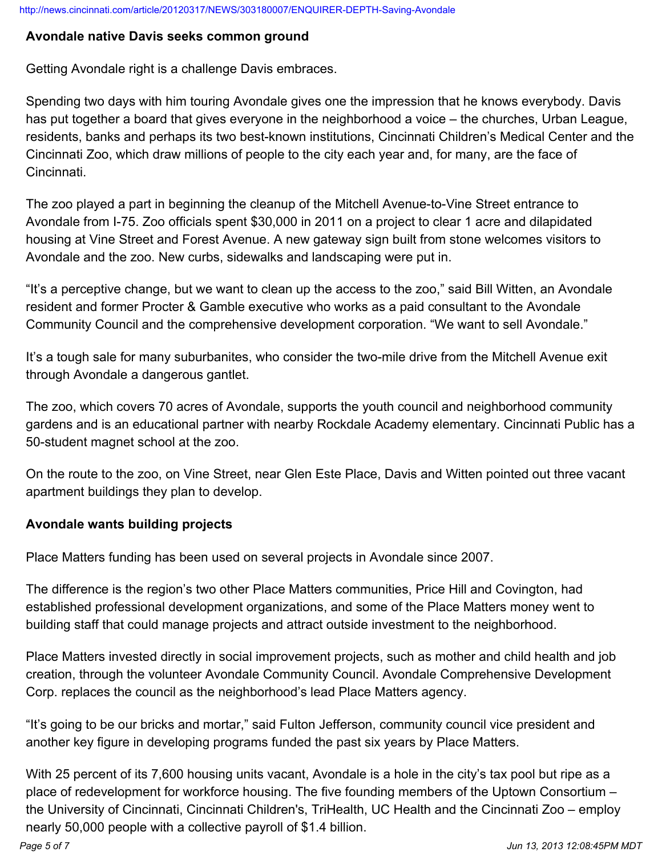#### **Avondale native Davis seeks common ground**

Getting Avondale right is a challenge Davis embraces.

Spending two days with him touring Avondale gives one the impression that he knows everybody. Davis has put together a board that gives everyone in the neighborhood a voice – the churches, Urban League, residents, banks and perhaps its two best-known institutions, Cincinnati Children's Medical Center and the Cincinnati Zoo, which draw millions of people to the city each year and, for many, are the face of Cincinnati.

The zoo played a part in beginning the cleanup of the Mitchell Avenue-to-Vine Street entrance to Avondale from I-75. Zoo officials spent \$30,000 in 2011 on a project to clear 1 acre and dilapidated housing at Vine Street and Forest Avenue. A new gateway sign built from stone welcomes visitors to Avondale and the zoo. New curbs, sidewalks and landscaping were put in.

"It's a perceptive change, but we want to clean up the access to the zoo," said Bill Witten, an Avondale resident and former Procter & Gamble executive who works as a paid consultant to the Avondale Community Council and the comprehensive development corporation. "We want to sell Avondale."

It's a tough sale for many suburbanites, who consider the two-mile drive from the Mitchell Avenue exit through Avondale a dangerous gantlet.

The zoo, which covers 70 acres of Avondale, supports the youth council and neighborhood community gardens and is an educational partner with nearby Rockdale Academy elementary. Cincinnati Public has a 50-student magnet school at the zoo.

On the route to the zoo, on Vine Street, near Glen Este Place, Davis and Witten pointed out three vacant apartment buildings they plan to develop.

# **Avondale wants building projects**

Place Matters funding has been used on several projects in Avondale since 2007.

The difference is the region's two other Place Matters communities, Price Hill and Covington, had established professional development organizations, and some of the Place Matters money went to building staff that could manage projects and attract outside investment to the neighborhood.

Place Matters invested directly in social improvement projects, such as mother and child health and job creation, through the volunteer Avondale Community Council. Avondale Comprehensive Development Corp. replaces the council as the neighborhood's lead Place Matters agency.

"It's going to be our bricks and mortar," said Fulton Jefferson, community council vice president and another key figure in developing programs funded the past six years by Place Matters.

With 25 percent of its 7,600 housing units vacant, Avondale is a hole in the city's tax pool but ripe as a place of redevelopment for workforce housing. The five founding members of the Uptown Consortium – the University of Cincinnati, Cincinnati Children's, TriHealth, UC Health and the Cincinnati Zoo – employ nearly 50,000 people with a collective payroll of \$1.4 billion.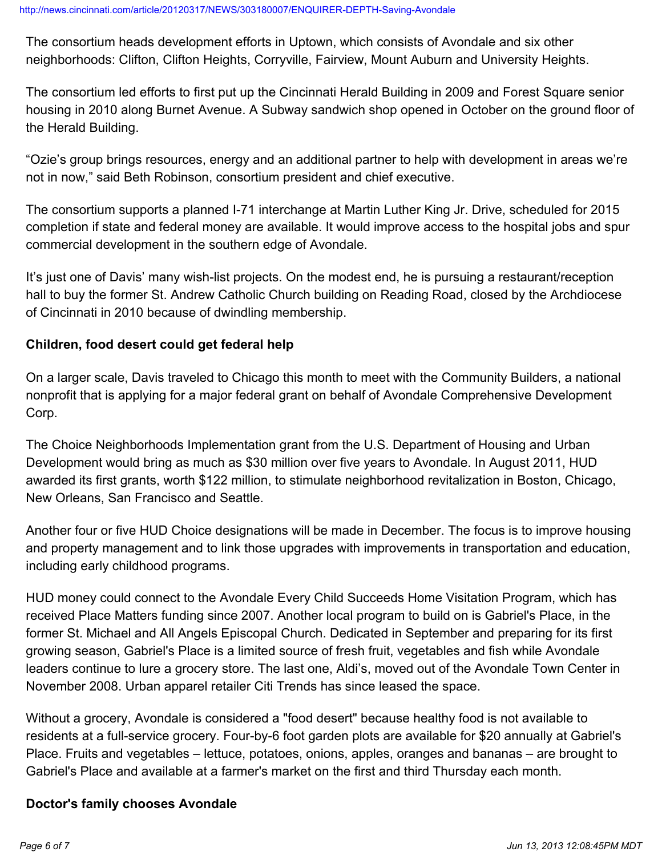The consortium heads development efforts in Uptown, which consists of Avondale and six other neighborhoods: Clifton, Clifton Heights, Corryville, Fairview, Mount Auburn and University Heights.

The consortium led efforts to first put up the Cincinnati Herald Building in 2009 and Forest Square senior housing in 2010 along Burnet Avenue. A Subway sandwich shop opened in October on the ground floor of the Herald Building.

"Ozie's group brings resources, energy and an additional partner to help with development in areas we're not in now," said Beth Robinson, consortium president and chief executive.

The consortium supports a planned I-71 interchange at Martin Luther King Jr. Drive, scheduled for 2015 completion if state and federal money are available. It would improve access to the hospital jobs and spur commercial development in the southern edge of Avondale.

It's just one of Davis' many wish-list projects. On the modest end, he is pursuing a restaurant/reception hall to buy the former St. Andrew Catholic Church building on Reading Road, closed by the Archdiocese of Cincinnati in 2010 because of dwindling membership.

### **Children, food desert could get federal help**

On a larger scale, Davis traveled to Chicago this month to meet with the Community Builders, a national nonprofit that is applying for a major federal grant on behalf of Avondale Comprehensive Development Corp.

The Choice Neighborhoods Implementation grant from the U.S. Department of Housing and Urban Development would bring as much as \$30 million over five years to Avondale. In August 2011, HUD awarded its first grants, worth \$122 million, to stimulate neighborhood revitalization in Boston, Chicago, New Orleans, San Francisco and Seattle.

Another four or five HUD Choice designations will be made in December. The focus is to improve housing and property management and to link those upgrades with improvements in transportation and education, including early childhood programs.

HUD money could connect to the Avondale Every Child Succeeds Home Visitation Program, which has received Place Matters funding since 2007. Another local program to build on is Gabriel's Place, in the former St. Michael and All Angels Episcopal Church. Dedicated in September and preparing for its first growing season, Gabriel's Place is a limited source of fresh fruit, vegetables and fish while Avondale leaders continue to lure a grocery store. The last one, Aldi's, moved out of the Avondale Town Center in November 2008. Urban apparel retailer Citi Trends has since leased the space.

Without a grocery, Avondale is considered a "food desert" because healthy food is not available to residents at a full-service grocery. Four-by-6 foot garden plots are available for \$20 annually at Gabriel's Place. Fruits and vegetables – lettuce, potatoes, onions, apples, oranges and bananas – are brought to Gabriel's Place and available at a farmer's market on the first and third Thursday each month.

#### **Doctor's family chooses Avondale**